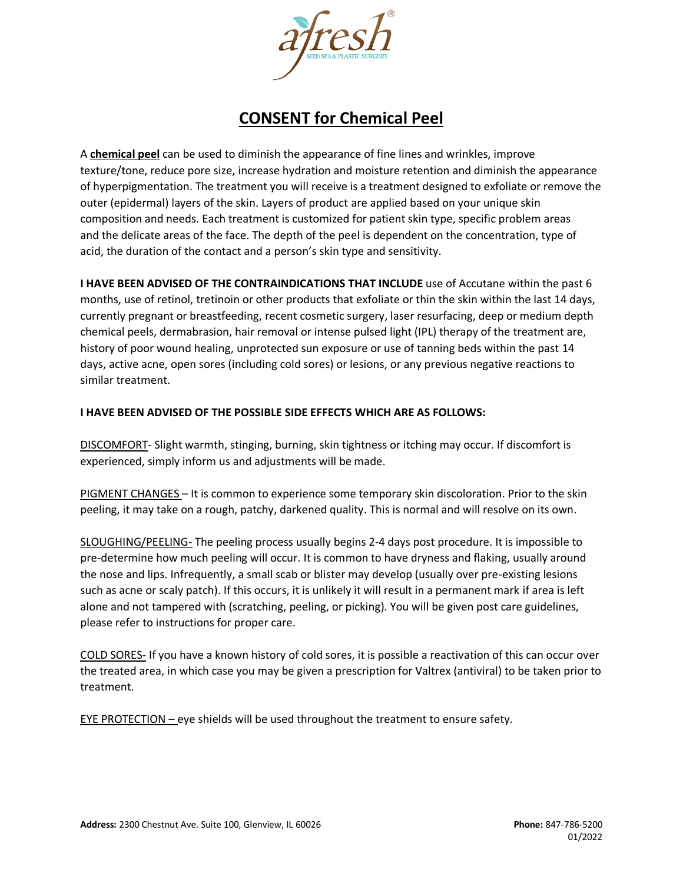

## **CONSENT for Chemical Peel**

A **chemical peel** can be used to diminish the appearance of fine lines and wrinkles, improve texture/tone, reduce pore size, increase hydration and moisture retention and diminish the appearance of hyperpigmentation. The treatment you will receive is a treatment designed to exfoliate or remove the outer (epidermal) layers of the skin. Layers of product are applied based on your unique skin composition and needs. Each treatment is customized for patient skin type, specific problem areas and the delicate areas of the face. The depth of the peel is dependent on the concentration, type of acid, the duration of the contact and a person's skin type and sensitivity.

**I HAVE BEEN ADVISED OF THE CONTRAINDICATIONS THAT INCLUDE** use of Accutane within the past 6 months, use of retinol, tretinoin or other products that exfoliate or thin the skin within the last 14 days, currently pregnant or breastfeeding, recent cosmetic surgery, laser resurfacing, deep or medium depth chemical peels, dermabrasion, hair removal or intense pulsed light (IPL) therapy of the treatment are, history of poor wound healing, unprotected sun exposure or use of tanning beds within the past 14 days, active acne, open sores (including cold sores) or lesions, or any previous negative reactions to similar treatment.

## **I HAVE BEEN ADVISED OF THE POSSIBLE SIDE EFFECTS WHICH ARE AS FOLLOWS:**

DISCOMFORT- Slight warmth, stinging, burning, skin tightness or itching may occur. If discomfort is experienced, simply inform us and adjustments will be made.

PIGMENT CHANGES – It is common to experience some temporary skin discoloration. Prior to the skin peeling, it may take on a rough, patchy, darkened quality. This is normal and will resolve on its own.

SLOUGHING/PEELING- The peeling process usually begins 2-4 days post procedure. It is impossible to pre-determine how much peeling will occur. It is common to have dryness and flaking, usually around the nose and lips. Infrequently, a small scab or blister may develop (usually over pre-existing lesions such as acne or scaly patch). If this occurs, it is unlikely it will result in a permanent mark if area is left alone and not tampered with (scratching, peeling, or picking). You will be given post care guidelines, please refer to instructions for proper care.

COLD SORES- If you have a known history of cold sores, it is possible a reactivation of this can occur over the treated area, in which case you may be given a prescription for Valtrex (antiviral) to be taken prior to treatment.

EYE PROTECTION – eye shields will be used throughout the treatment to ensure safety.